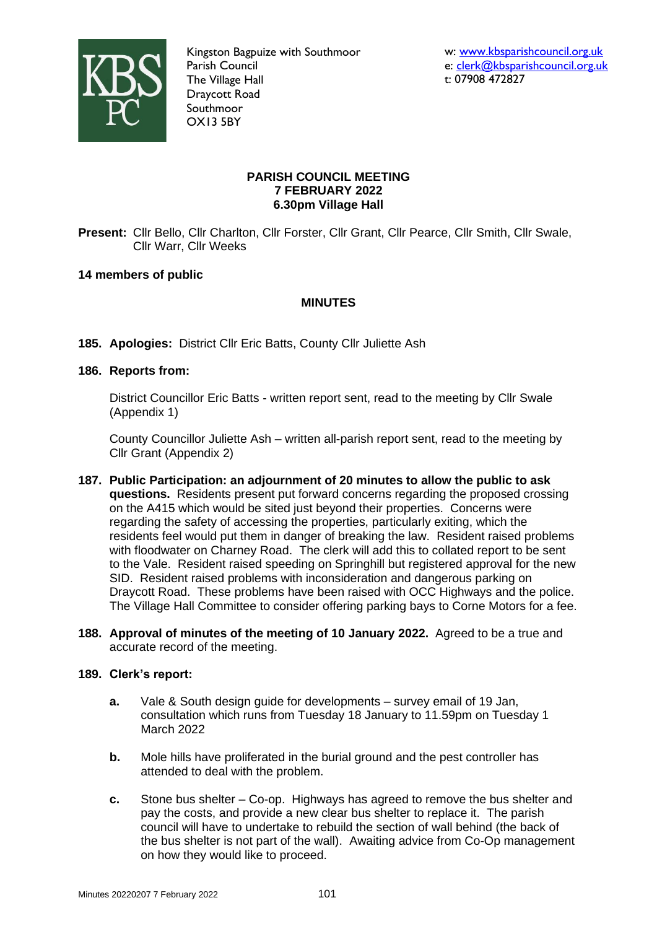

Kingston Bagpuize with Southmoor Parish Council The Village Hall Draycott Road Southmoor OX13 5BY

# **PARISH COUNCIL MEETING 7 FEBRUARY 2022 6.30pm Village Hall**

**Present:** Cllr Bello, Cllr Charlton, Cllr Forster, Cllr Grant, Cllr Pearce, Cllr Smith, Cllr Swale, Cllr Warr, Cllr Weeks

# **14 members of public**

# **MINUTES**

**185. Apologies:** District Cllr Eric Batts, County Cllr Juliette Ash

# **186. Reports from:**

District Councillor Eric Batts - written report sent, read to the meeting by Cllr Swale (Appendix 1)

County Councillor Juliette Ash – written all-parish report sent, read to the meeting by Cllr Grant (Appendix 2)

- **187. Public Participation: an adjournment of 20 minutes to allow the public to ask questions.** Residents present put forward concerns regarding the proposed crossing on the A415 which would be sited just beyond their properties. Concerns were regarding the safety of accessing the properties, particularly exiting, which the residents feel would put them in danger of breaking the law. Resident raised problems with floodwater on Charney Road. The clerk will add this to collated report to be sent to the Vale. Resident raised speeding on Springhill but registered approval for the new SID. Resident raised problems with inconsideration and dangerous parking on Draycott Road. These problems have been raised with OCC Highways and the police. The Village Hall Committee to consider offering parking bays to Corne Motors for a fee.
- **188. Approval of minutes of the meeting of 10 January 2022.** Agreed to be a true and accurate record of the meeting.

# **189. Clerk's report:**

- **a.** Vale & South design guide for developments survey email of 19 Jan, consultation which runs from Tuesday 18 January to 11.59pm on Tuesday 1 March 2022
- **b.** Mole hills have proliferated in the burial ground and the pest controller has attended to deal with the problem.
- **c.** Stone bus shelter Co-op. Highways has agreed to remove the bus shelter and pay the costs, and provide a new clear bus shelter to replace it. The parish council will have to undertake to rebuild the section of wall behind (the back of the bus shelter is not part of the wall). Awaiting advice from Co-Op management on how they would like to proceed.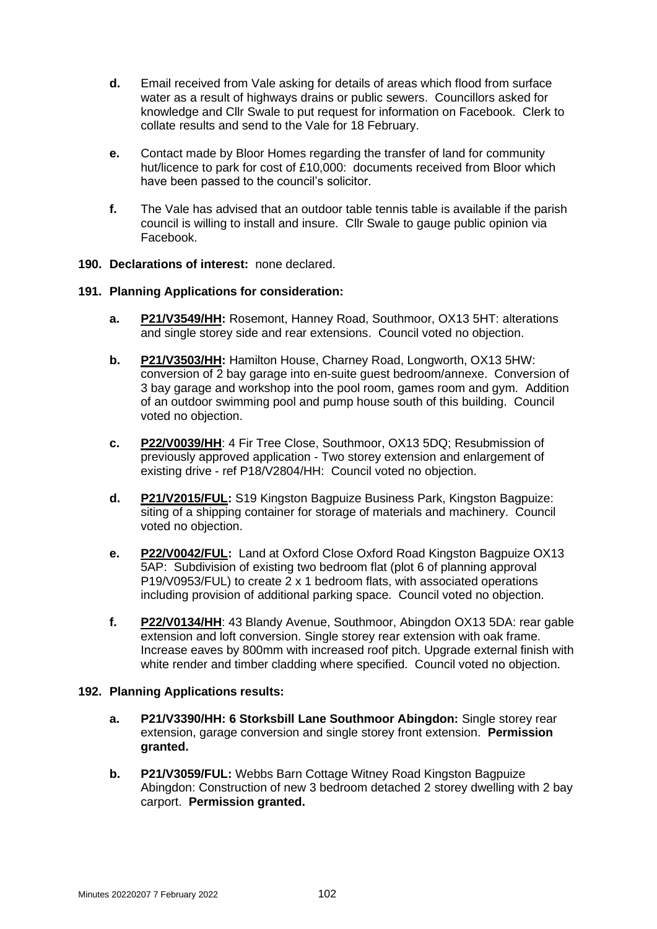- **d.** Email received from Vale asking for details of areas which flood from surface water as a result of highways drains or public sewers. Councillors asked for knowledge and Cllr Swale to put request for information on Facebook. Clerk to collate results and send to the Vale for 18 February.
- **e.** Contact made by Bloor Homes regarding the transfer of land for community hut/licence to park for cost of £10,000: documents received from Bloor which have been passed to the council's solicitor.
- **f.** The Vale has advised that an outdoor table tennis table is available if the parish council is willing to install and insure. Cllr Swale to gauge public opinion via Facebook.

### **190. Declarations of interest:** none declared.

### **191. Planning Applications for consideration:**

- **a. [P21/V3549/HH:](https://data.whitehorsedc.gov.uk/java/support/Main.jsp?MODULE=ApplicationDetails&REF=P21/V3549/HH)** Rosemont, Hanney Road, Southmoor, OX13 5HT: alterations and single storey side and rear extensions. Council voted no objection.
- **b. [P21/V3503/HH:](https://data.whitehorsedc.gov.uk/java/support/Main.jsp?MODULE=ApplicationDetails&REF=P21/V3503/HH)** Hamilton House, Charney Road, Longworth, OX13 5HW: conversion of 2 bay garage into en-suite guest bedroom/annexe. Conversion of 3 bay garage and workshop into the pool room, games room and gym. Addition of an outdoor swimming pool and pump house south of this building. Council voted no objection.
- **c. [P22/V0039/HH](https://data.whitehorsedc.gov.uk/java/support/Main.jsp?MODULE=ApplicationDetails&REF=P22/V0039/HH)**: 4 Fir Tree Close, Southmoor, OX13 5DQ; Resubmission of previously approved application - Two storey extension and enlargement of existing drive - ref P18/V2804/HH: Council voted no objection.
- **d. [P21/V2015/FUL:](https://data.whitehorsedc.gov.uk/java/support/Main.jsp?MODULE=ApplicationDetails&REF=P21/V2015/FUL)** S19 Kingston Bagpuize Business Park, Kingston Bagpuize: siting of a shipping container for storage of materials and machinery. Council voted no objection.
- **e. [P22/V0042/FUL:](https://data.whitehorsedc.gov.uk/java/support/Main.jsp?MODULE=ApplicationDetails&REF=P22/V0042/FUL)** Land at Oxford Close Oxford Road Kingston Bagpuize OX13 5AP: Subdivision of existing two bedroom flat (plot 6 of planning approval P19/V0953/FUL) to create 2 x 1 bedroom flats, with associated operations including provision of additional parking space. Council voted no objection.
- **f. [P22/V0134/HH](https://data.whitehorsedc.gov.uk/java/support/Main.jsp?MODULE=ApplicationDetails&REF=P22/V0134/HH)**: 43 Blandy Avenue, Southmoor, Abingdon OX13 5DA: rear gable extension and loft conversion. Single storey rear extension with oak frame. Increase eaves by 800mm with increased roof pitch. Upgrade external finish with white render and timber cladding where specified. Council voted no objection.

### **192. Planning Applications results:**

- **a. P21/V3390/HH: 6 Storksbill Lane Southmoor Abingdon:** Single storey rear extension, garage conversion and single storey front extension. **Permission granted.**
- **b. P21/V3059/FUL:** Webbs Barn Cottage Witney Road Kingston Bagpuize Abingdon: Construction of new 3 bedroom detached 2 storey dwelling with 2 bay carport. **Permission granted.**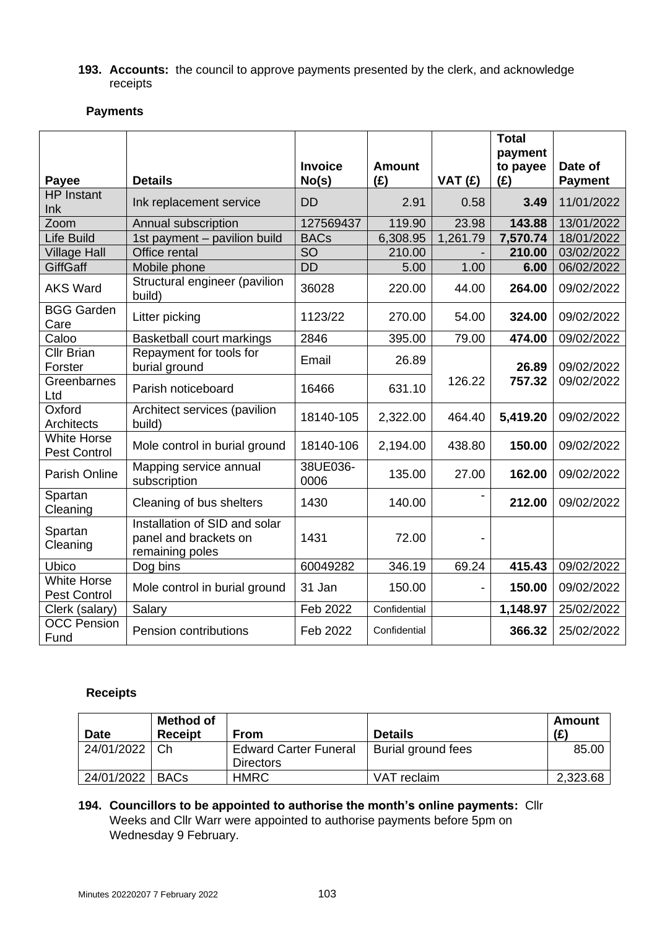### **193. Accounts:** the council to approve payments presented by the clerk, and acknowledge receipts

# **Payments**

|                                           |                                                                           | <b>Invoice</b>   | <b>Amount</b> |          | <b>Total</b><br>payment<br>to payee | Date of        |
|-------------------------------------------|---------------------------------------------------------------------------|------------------|---------------|----------|-------------------------------------|----------------|
| Payee                                     | <b>Details</b>                                                            | No(s)            | (E)           | VAT (£)  | (E)                                 | <b>Payment</b> |
| <b>HP</b> Instant<br>Ink                  | Ink replacement service                                                   | <b>DD</b>        | 2.91          | 0.58     | 3.49                                | 11/01/2022     |
| Zoom                                      | Annual subscription                                                       | 127569437        | 119.90        | 23.98    | 143.88<br>13/01/2022                |                |
| <b>Life Build</b>                         | 1st payment - pavilion build                                              | <b>BACs</b>      | 6,308.95      | 1,261.79 | 7,570.74<br>18/01/2022              |                |
| <b>Village Hall</b>                       | Office rental                                                             | $\overline{SO}$  | 210.00        |          | 210.00<br>03/02/2022                |                |
| <b>GiffGaff</b>                           | Mobile phone                                                              | <b>DD</b>        | 5.00          | 1.00     | 06/02/2022<br>6.00                  |                |
| <b>AKS Ward</b>                           | Structural engineer (pavilion<br>build)                                   | 36028            | 220.00        | 44.00    | 09/02/2022<br>264.00                |                |
| <b>BGG Garden</b><br>Care                 | Litter picking                                                            | 1123/22          | 270.00        | 54.00    | 324.00<br>09/02/2022                |                |
| Caloo                                     | <b>Basketball court markings</b>                                          | 2846             | 395.00        | 79.00    | 474.00                              | 09/02/2022     |
| <b>Cllr Brian</b><br>Forster              | Repayment for tools for<br>burial ground                                  | Email            | 26.89         |          | 26.89                               | 09/02/2022     |
| Greenbarnes<br>Ltd                        | Parish noticeboard                                                        | 16466            | 631.10        | 126.22   | 757.32                              | 09/02/2022     |
| Oxford<br>Architects                      | Architect services (pavilion<br>build)                                    | 18140-105        | 2,322.00      | 464.40   | 5,419.20                            | 09/02/2022     |
| <b>White Horse</b><br><b>Pest Control</b> | Mole control in burial ground                                             | 18140-106        | 2,194.00      | 438.80   | 150.00                              | 09/02/2022     |
| Parish Online                             | Mapping service annual<br>subscription                                    | 38UE036-<br>0006 | 135.00        | 27.00    | 162.00                              | 09/02/2022     |
| Spartan<br>Cleaning                       | Cleaning of bus shelters                                                  | 1430             | 140.00        |          | 212.00                              | 09/02/2022     |
| Spartan<br>Cleaning                       | Installation of SID and solar<br>panel and brackets on<br>remaining poles | 1431             | 72.00         |          |                                     |                |
| Ubico                                     | Dog bins                                                                  | 60049282         | 346.19        | 69.24    | 415.43                              | 09/02/2022     |
| <b>White Horse</b><br><b>Pest Control</b> | Mole control in burial ground                                             | 31 Jan           | 150.00        |          | 150.00                              | 09/02/2022     |
| Clerk (salary)                            | Salary                                                                    | Feb 2022         | Confidential  |          | 1,148.97                            | 25/02/2022     |
| <b>OCC Pension</b><br>Fund                | <b>Pension contributions</b>                                              | Feb 2022         | Confidential  |          | 366.32                              | 25/02/2022     |

# **Receipts**

| <b>Date</b> | <b>Method of</b><br><b>Receipt</b> | <b>From</b>                  | <b>Details</b>     | Amount<br>(E) |
|-------------|------------------------------------|------------------------------|--------------------|---------------|
| 24/01/2022  | .Ch                                | <b>Edward Carter Funeral</b> | Burial ground fees | 85.00         |
|             |                                    | <b>Directors</b>             |                    |               |
| 24/01/2022  | <b>BACs</b>                        | <b>HMRC</b>                  | VAT reclaim        | 2,323.68      |

# **194. Councillors to be appointed to authorise the month's online payments:** Cllr Weeks and Cllr Warr were appointed to authorise payments before 5pm on Wednesday 9 February.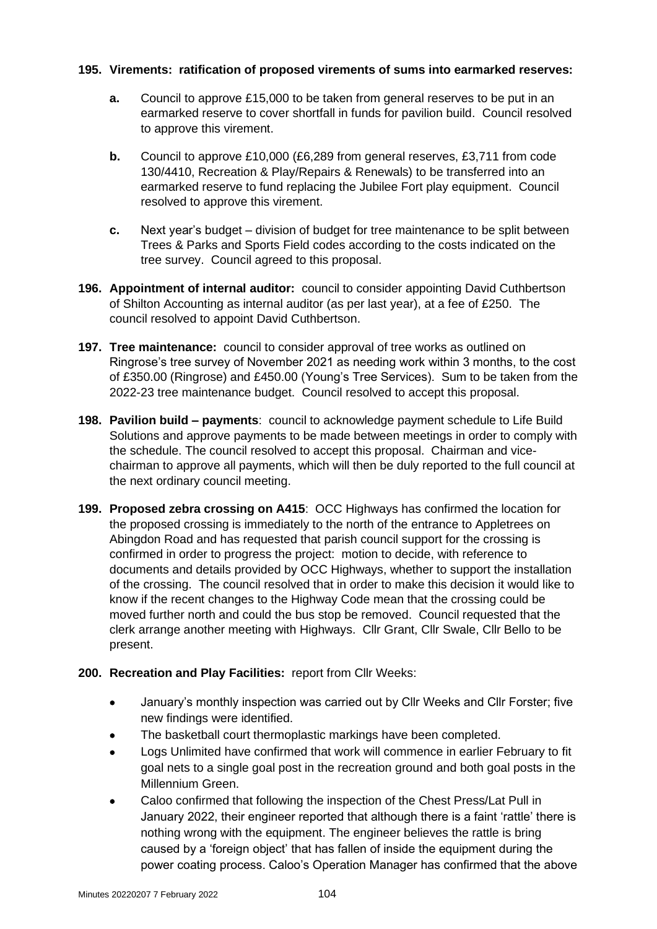# **195. Virements: ratification of proposed virements of sums into earmarked reserves:**

- **a.** Council to approve £15,000 to be taken from general reserves to be put in an earmarked reserve to cover shortfall in funds for pavilion build. Council resolved to approve this virement.
- **b.** Council to approve £10,000 (£6,289 from general reserves, £3,711 from code 130/4410, Recreation & Play/Repairs & Renewals) to be transferred into an earmarked reserve to fund replacing the Jubilee Fort play equipment. Council resolved to approve this virement.
- **c.** Next year's budget division of budget for tree maintenance to be split between Trees & Parks and Sports Field codes according to the costs indicated on the tree survey. Council agreed to this proposal.
- **196. Appointment of internal auditor:** council to consider appointing David Cuthbertson of Shilton Accounting as internal auditor (as per last year), at a fee of £250. The council resolved to appoint David Cuthbertson.
- **197. Tree maintenance:** council to consider approval of tree works as outlined on Ringrose's tree survey of November 2021 as needing work within 3 months, to the cost of £350.00 (Ringrose) and £450.00 (Young's Tree Services). Sum to be taken from the 2022-23 tree maintenance budget. Council resolved to accept this proposal.
- **198. Pavilion build – payments**: council to acknowledge payment schedule to Life Build Solutions and approve payments to be made between meetings in order to comply with the schedule. The council resolved to accept this proposal. Chairman and vicechairman to approve all payments, which will then be duly reported to the full council at the next ordinary council meeting.
- **199. Proposed zebra crossing on A415**: OCC Highways has confirmed the location for the proposed crossing is immediately to the north of the entrance to Appletrees on Abingdon Road and has requested that parish council support for the crossing is confirmed in order to progress the project: motion to decide, with reference to documents and details provided by OCC Highways, whether to support the installation of the crossing. The council resolved that in order to make this decision it would like to know if the recent changes to the Highway Code mean that the crossing could be moved further north and could the bus stop be removed. Council requested that the clerk arrange another meeting with Highways. Cllr Grant, Cllr Swale, Cllr Bello to be present.

# **200. Recreation and Play Facilities:** report from Cllr Weeks:

- January's monthly inspection was carried out by Cllr Weeks and Cllr Forster; five new findings were identified.
- The basketball court thermoplastic markings have been completed.
- Logs Unlimited have confirmed that work will commence in earlier February to fit goal nets to a single goal post in the recreation ground and both goal posts in the Millennium Green.
- Caloo confirmed that following the inspection of the Chest Press/Lat Pull in January 2022, their engineer reported that although there is a faint 'rattle' there is nothing wrong with the equipment. The engineer believes the rattle is bring caused by a 'foreign object' that has fallen of inside the equipment during the power coating process. Caloo's Operation Manager has confirmed that the above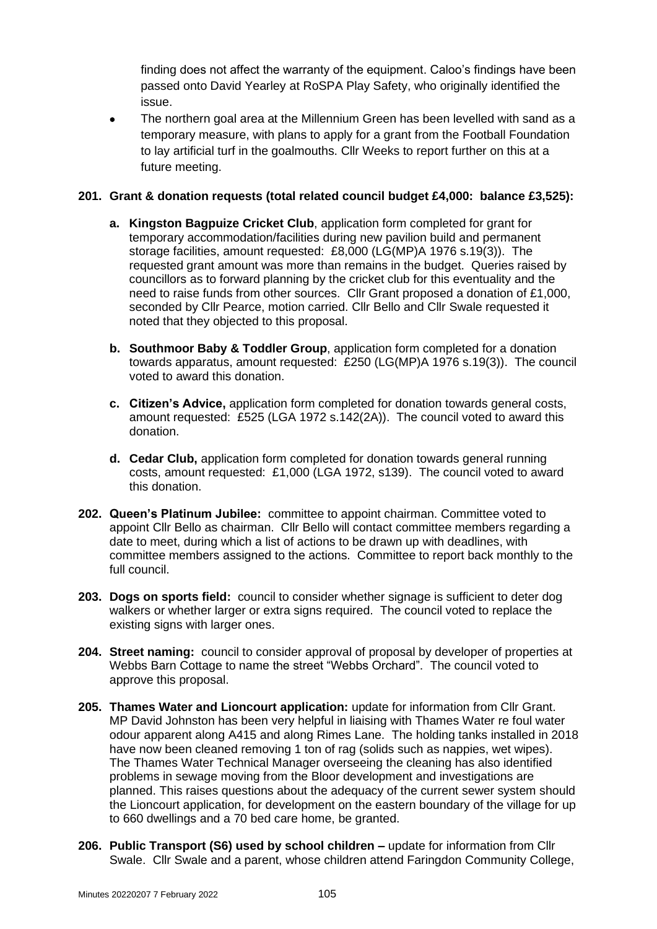finding does not affect the warranty of the equipment. Caloo's findings have been passed onto David Yearley at RoSPA Play Safety, who originally identified the issue.

• The northern goal area at the Millennium Green has been levelled with sand as a temporary measure, with plans to apply for a grant from the Football Foundation to lay artificial turf in the goalmouths. Cllr Weeks to report further on this at a future meeting.

# **201. Grant & donation requests (total related council budget £4,000: balance £3,525):**

- **a. Kingston Bagpuize Cricket Club**, application form completed for grant for temporary accommodation/facilities during new pavilion build and permanent storage facilities, amount requested: £8,000 (LG(MP)A 1976 s.19(3)). The requested grant amount was more than remains in the budget. Queries raised by councillors as to forward planning by the cricket club for this eventuality and the need to raise funds from other sources. Cllr Grant proposed a donation of £1,000, seconded by Cllr Pearce, motion carried. Cllr Bello and Cllr Swale requested it noted that they objected to this proposal.
- **b. Southmoor Baby & Toddler Group**, application form completed for a donation towards apparatus, amount requested: £250 (LG(MP)A 1976 s.19(3)). The council voted to award this donation.
- **c. Citizen's Advice,** application form completed for donation towards general costs, amount requested: £525 (LGA 1972 s.142(2A)). The council voted to award this donation.
- **d. Cedar Club,** application form completed for donation towards general running costs, amount requested: £1,000 (LGA 1972, s139). The council voted to award this donation.
- **202. Queen's Platinum Jubilee:** committee to appoint chairman. Committee voted to appoint Cllr Bello as chairman. Cllr Bello will contact committee members regarding a date to meet, during which a list of actions to be drawn up with deadlines, with committee members assigned to the actions. Committee to report back monthly to the full council.
- **203. Dogs on sports field:** council to consider whether signage is sufficient to deter dog walkers or whether larger or extra signs required. The council voted to replace the existing signs with larger ones.
- **204. Street naming:** council to consider approval of proposal by developer of properties at Webbs Barn Cottage to name the street "Webbs Orchard". The council voted to approve this proposal.
- **205. Thames Water and Lioncourt application:** update for information from Cllr Grant. MP David Johnston has been very helpful in liaising with Thames Water re foul water odour apparent along A415 and along Rimes Lane. The holding tanks installed in 2018 have now been cleaned removing 1 ton of rag (solids such as nappies, wet wipes). The Thames Water Technical Manager overseeing the cleaning has also identified problems in sewage moving from the Bloor development and investigations are planned. This raises questions about the adequacy of the current sewer system should the Lioncourt application, for development on the eastern boundary of the village for up to 660 dwellings and a 70 bed care home, be granted.
- **206. Public Transport (S6) used by school children –** update for information from Cllr Swale. Cllr Swale and a parent, whose children attend Faringdon Community College,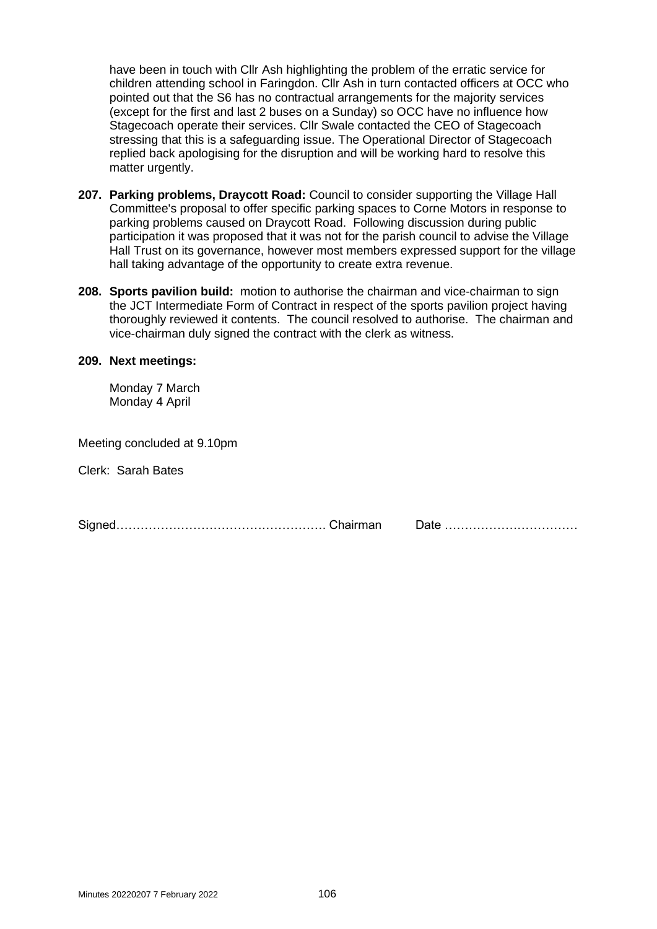have been in touch with Cllr Ash highlighting the problem of the erratic service for children attending school in Faringdon. Cllr Ash in turn contacted officers at OCC who pointed out that the S6 has no contractual arrangements for the majority services (except for the first and last 2 buses on a Sunday) so OCC have no influence how Stagecoach operate their services. Cllr Swale contacted the CEO of Stagecoach stressing that this is a safeguarding issue. The Operational Director of Stagecoach replied back apologising for the disruption and will be working hard to resolve this matter urgently.

- **207. Parking problems, Draycott Road:** Council to consider supporting the Village Hall Committee's proposal to offer specific parking spaces to Corne Motors in response to parking problems caused on Draycott Road. Following discussion during public participation it was proposed that it was not for the parish council to advise the Village Hall Trust on its governance, however most members expressed support for the village hall taking advantage of the opportunity to create extra revenue.
- **208. Sports pavilion build:** motion to authorise the chairman and vice-chairman to sign the JCT Intermediate Form of Contract in respect of the sports pavilion project having thoroughly reviewed it contents. The council resolved to authorise. The chairman and vice-chairman duly signed the contract with the clerk as witness.

#### **209. Next meetings:**

Monday 7 March Monday 4 April

Meeting concluded at 9.10pm

Clerk: Sarah Bates

Signed……………………………………………. Chairman Date ……………………………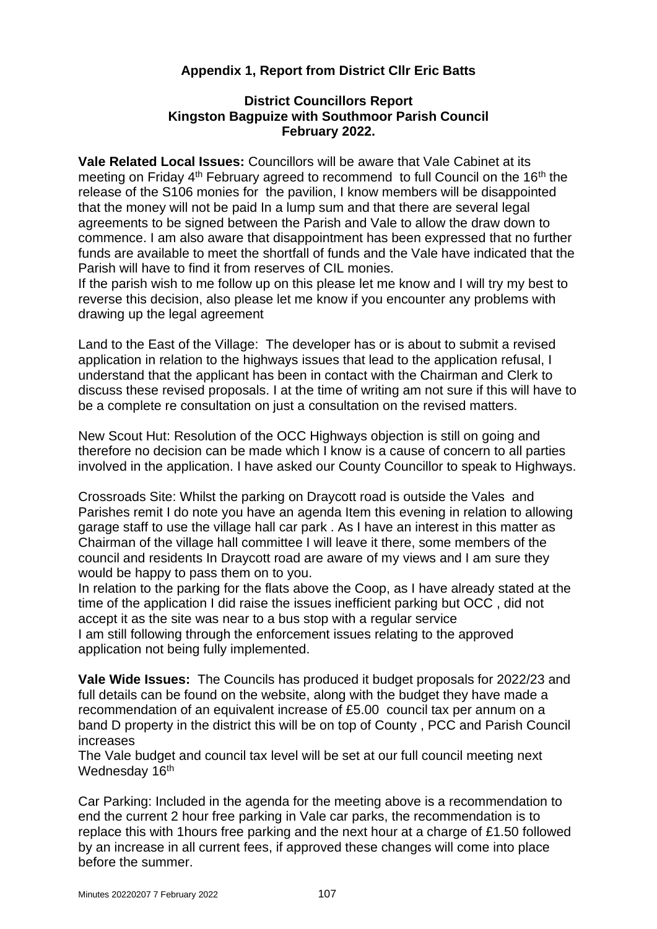# **Appendix 1, Report from District Cllr Eric Batts**

# **District Councillors Report Kingston Bagpuize with Southmoor Parish Council February 2022.**

**Vale Related Local Issues:** Councillors will be aware that Vale Cabinet at its meeting on Friday 4<sup>th</sup> February agreed to recommend to full Council on the 16<sup>th</sup> the release of the S106 monies for the pavilion, I know members will be disappointed that the money will not be paid In a lump sum and that there are several legal agreements to be signed between the Parish and Vale to allow the draw down to commence. I am also aware that disappointment has been expressed that no further funds are available to meet the shortfall of funds and the Vale have indicated that the Parish will have to find it from reserves of CIL monies.

If the parish wish to me follow up on this please let me know and I will try my best to reverse this decision, also please let me know if you encounter any problems with drawing up the legal agreement

Land to the East of the Village: The developer has or is about to submit a revised application in relation to the highways issues that lead to the application refusal, I understand that the applicant has been in contact with the Chairman and Clerk to discuss these revised proposals. I at the time of writing am not sure if this will have to be a complete re consultation on just a consultation on the revised matters.

New Scout Hut: Resolution of the OCC Highways objection is still on going and therefore no decision can be made which I know is a cause of concern to all parties involved in the application. I have asked our County Councillor to speak to Highways.

Crossroads Site: Whilst the parking on Draycott road is outside the Vales and Parishes remit I do note you have an agenda Item this evening in relation to allowing garage staff to use the village hall car park . As I have an interest in this matter as Chairman of the village hall committee I will leave it there, some members of the council and residents In Draycott road are aware of my views and I am sure they would be happy to pass them on to you.

In relation to the parking for the flats above the Coop, as I have already stated at the time of the application I did raise the issues inefficient parking but OCC , did not accept it as the site was near to a bus stop with a regular service I am still following through the enforcement issues relating to the approved application not being fully implemented.

**Vale Wide Issues:** The Councils has produced it budget proposals for 2022/23 and full details can be found on the website, along with the budget they have made a recommendation of an equivalent increase of £5.00 council tax per annum on a band D property in the district this will be on top of County , PCC and Parish Council increases

The Vale budget and council tax level will be set at our full council meeting next Wednesday 16<sup>th</sup>

Car Parking: Included in the agenda for the meeting above is a recommendation to end the current 2 hour free parking in Vale car parks, the recommendation is to replace this with 1hours free parking and the next hour at a charge of £1.50 followed by an increase in all current fees, if approved these changes will come into place before the summer.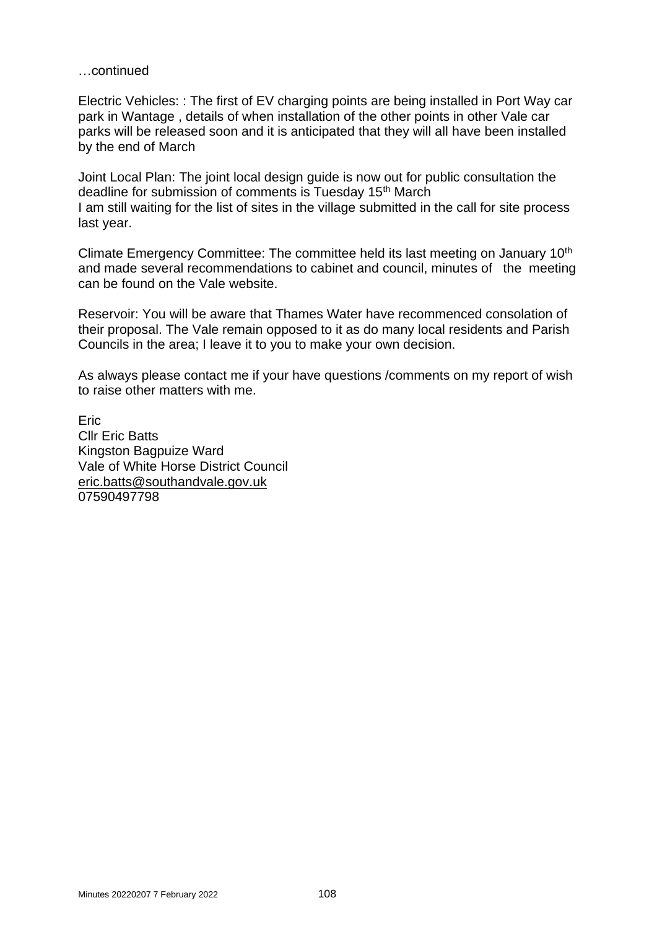### …continued

Electric Vehicles: : The first of EV charging points are being installed in Port Way car park in Wantage , details of when installation of the other points in other Vale car parks will be released soon and it is anticipated that they will all have been installed by the end of March

Joint Local Plan: The joint local design guide is now out for public consultation the deadline for submission of comments is Tuesday 15th March I am still waiting for the list of sites in the village submitted in the call for site process last year.

Climate Emergency Committee: The committee held its last meeting on January 10<sup>th</sup> and made several recommendations to cabinet and council, minutes of the meeting can be found on the Vale website.

Reservoir: You will be aware that Thames Water have recommenced consolation of their proposal. The Vale remain opposed to it as do many local residents and Parish Councils in the area; I leave it to you to make your own decision.

As always please contact me if your have questions /comments on my report of wish to raise other matters with me.

Eric Cllr Eric Batts Kingston Bagpuize Ward Vale of White Horse District Council [eric.batts@southandvale.gov.uk](mailto:eric.batts@southandvale.gov.uk) 07590497798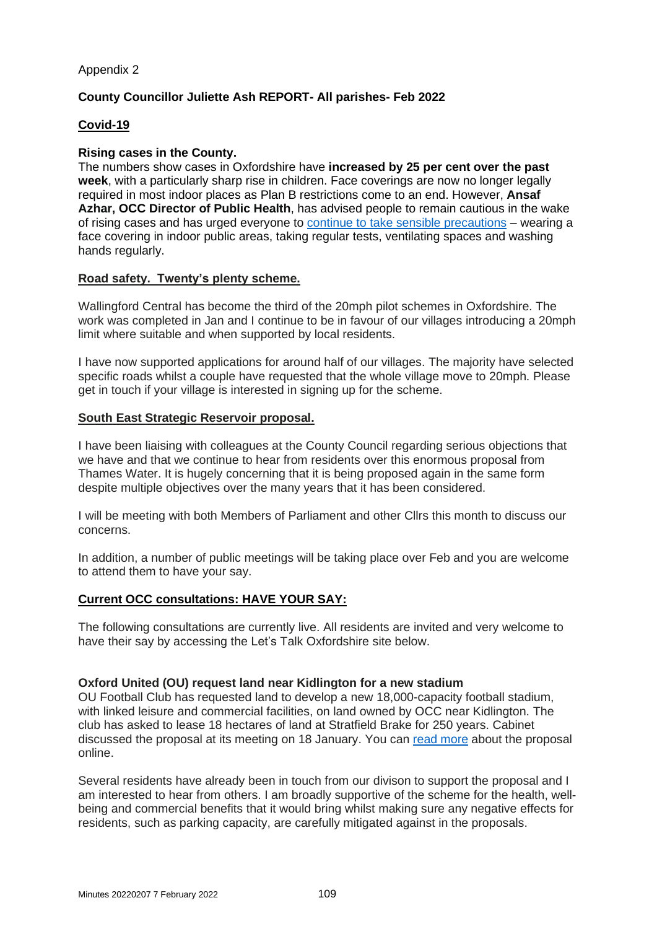# Appendix 2

# **County Councillor Juliette Ash REPORT- All parishes- Feb 2022**

# **Covid-19**

### **Rising cases in the County.**

The numbers show cases in Oxfordshire have **increased by 25 per cent over the past week**, with a particularly sharp rise in children. Face coverings are now no longer legally required in most indoor places as Plan B restrictions come to an end. However, **Ansaf Azhar, OCC Director of Public Health**, has advised people to remain cautious in the wake of rising cases and has urged everyone to continue to take sensible [precautions](https://news.oxfordshire.gov.uk/covid-rises-among-the-young) – wearing a face covering in indoor public areas, taking regular tests, ventilating spaces and washing hands regularly.

### **Road safety. Twenty's plenty scheme.**

Wallingford Central has become the third of the 20mph pilot schemes in Oxfordshire. The work was completed in Jan and I continue to be in favour of our villages introducing a 20mph limit where suitable and when supported by local residents.

I have now supported applications for around half of our villages. The majority have selected specific roads whilst a couple have requested that the whole village move to 20mph. Please get in touch if your village is interested in signing up for the scheme.

### **South East Strategic Reservoir proposal.**

I have been liaising with colleagues at the County Council regarding serious objections that we have and that we continue to hear from residents over this enormous proposal from Thames Water. It is hugely concerning that it is being proposed again in the same form despite multiple objectives over the many years that it has been considered.

I will be meeting with both Members of Parliament and other Cllrs this month to discuss our concerns.

In addition, a number of public meetings will be taking place over Feb and you are welcome to attend them to have your say.

# **Current OCC consultations: HAVE YOUR SAY:**

The following consultations are currently live. All residents are invited and very welcome to have their say by accessing the Let's Talk Oxfordshire site below.

#### **Oxford United (OU) request land near Kidlington for a new stadium**

OU Football Club has requested land to develop a new 18,000-capacity football stadium, with linked leisure and commercial facilities, on land owned by OCC near Kidlington. The club has asked to lease 18 hectares of land at Stratfield Brake for 250 years. Cabinet discussed the proposal at its meeting on 18 January. You can read [more](https://news.oxfordshire.gov.uk/stratfield-brake/) about the proposal online.

Several residents have already been in touch from our divison to support the proposal and I am interested to hear from others. I am broadly supportive of the scheme for the health, wellbeing and commercial benefits that it would bring whilst making sure any negative effects for residents, such as parking capacity, are carefully mitigated against in the proposals.